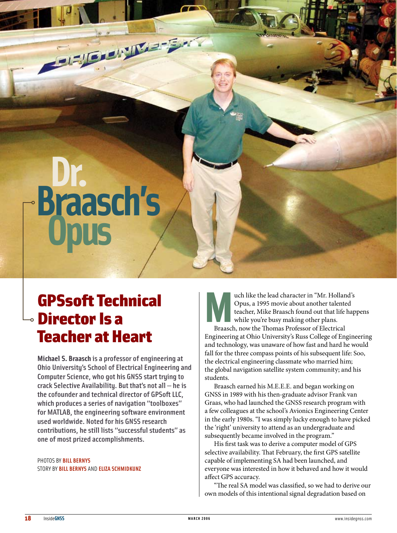# **Dr. Braasch's Opus**

Fizieren IV. a-Ear

# GPSsoft Technical  $\circ$  Director Is a **Teacher at Heart**

**Michael S. Braasch** isa professor of engineering at Ohio University's School of Electrical Engineering and Computer Science, who got his GNSS start trying to crack Selective Availability. But that's notall — he is the cofounder and technical director of GPSoft LLC. which produces a series of navigation "toolboxes" for MATLAB, the engineering software environment used worldwide. Noted for his GNSS research contributions, he still lists "successful students" as one of most prized accomplishments.

PHOTOS BY **BILL BERNYS** STORY BY **BILL BERNYS** AND **ELIZA SCHMIDKUNZ**

uch like the lead character in "Mr. Holland's<br>Opus, a 1995 movie about another talented<br>teacher, Mike Braasch found out that life hap<br>while you're busy making other plans.<br>Braasch, now the Thomas Professor of Electrical Opus, a 1995 movie about another talented teacher, Mike Braasch found out that life happens while you're busy making other plans. Braasch, now the Thomas Professor of Electrical Engineering at Ohio University's Russ College of Engineering and technology, was unaware of how fast and hard he would fall for the three compass points of his subsequent life: Soo, the electrical engineering classmate who married him; the global navigation satellite system community; and his students.

Braasch earned his M.E.E.E. and began working on GNSS in 1989 with his then-graduate advisor Frank van Graas, who had launched the GNSS research program with a few colleagues at the school's Avionics Engineering Center in the early 1980s. "I was simply lucky enough to have picked the 'right' university to attend as an undergraduate and subsequently became involved in the program."

His first task was to derive a computer model of GPS selective availability. That February, the first GPS satellite capable of implementing SA had been launched, and everyone was interested in how it behaved and how it would affect GPS accuracy.

"The real SA model was classified, so we had to derive our own models of this intentional signal degradation based on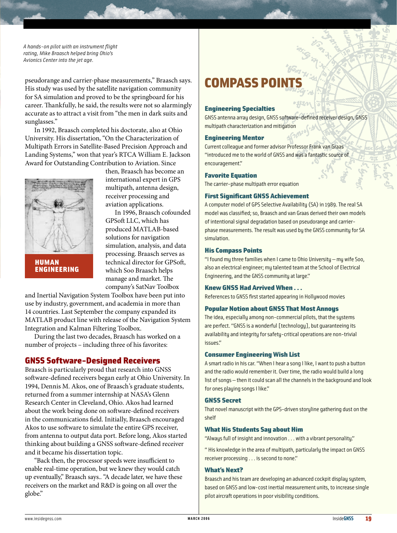*A hands-on pilot with an instrument flight rating, Mike Braasch helped bring Ohio's Avionics Center into the jet age.*

pseudorange and carrier-phase measurements," Braasch says. His study was used by the satellite navigation community for SA simulation and proved to be the springboard for his career. Thankfully, he said, the results were not so alarmingly accurate as to attract a visit from "the men in dark suits and sunglasses."

In 1992, Braasch completed his doctorate, also at Ohio University. His dissertation, "On the Characterization of Multipath Errors in Satellite-Based Precision Approach and Landing Systems," won that year's RTCA William E. Jackson Award for Outstanding Contribution to Aviation. Since



HUMAN ENGINEERING

then, Braasch has become an international expert in GPS multipath, antenna design, receiver processing and aviation applications.

In 1996, Braasch cofounded GPSoft LLC, which has produced MATLAB-based solutions for navigation simulation, analysis, and data processing. Braasch serves as technical director for GPSoft, which Soo Braasch helps manage and market. The company's SatNav Toolbox

and Inertial Navigation System Toolbox have been put into use by industry, government, and academia in more than 14 countries. Last September the company expanded its MATLAB product line with release of the Navigation System Integration and Kalman Filtering Toolbox.

During the last two decades, Braasch has worked on a number of projects – including three of his favorites:

## GNSS Software-Designed Receivers

Braasch is particularly proud that research into GNSS software-defined receivers began early at Ohio University. In 1994, Dennis M. Akos, one of Braasch's graduate students, returned from a summer internship at NASA's Glenn Research Center in Cleveland, Ohio. Akos had learned about the work being done on software-defined receivers in the communications field. Initially, Braasch encouraged Akos to use software to simulate the entire GPS receiver, from antenna to output data port. Before long, Akos started thinking about building a GNSS software-defined receiver and it became his dissertation topic.

"Back then, the processor speeds were insufficient to enable real-time operation, but we knew they would catch up eventually," Braasch says.. "A decade later, we have these receivers on the market and R&D is going on all over the globe."

# **COMPASS POI**

### Engineering Specialties

GNSS antenna array design, GNSS software-defined receiver design, GNSS multipath characterization and mitigation

### **Engineering Mentor**

Current colleague and former advisor Professor Frank van Graas "introduced me to the world of GNSS and was a fantastic source of encouragement."

### Favorite Equation

The carrier-phase multipath error equation

### First Significant GNSS Achievement

A computer model of GPS Selective Availability (SA) in 1989. The real SA model was classified; so, Braasch and van Graas derived their own models of intentional signal degradation based on pseudorange and carrierphase measurements. The result was used by the GNSS community for SA simulation.

### His Compass Points

"I found my three families when I came to Ohio University - my wife Soo, also an electrical engineer; my talented team at the School of Electrical Engineering, and the GNSS community at large."

### Knew GNSS Had Arrived When . . .

References to GNSS first started appearing in Hollywood movies

### **Popular Notion about GNSS That Most Annoys**

The idea, especially among non-commercial pilots, that the systems are perfect. "GNSS is a wonderful [technology], but guaranteeing its availability and integrity forsafety-critical operations are non-trivial issues."

### **Consumer Engineering Wish List**

A smart radio in his car. "When I hear a song I like, I want to push a button and the radio would remember it. Over time, the radio would build a long list of songs - then it could scan all the channels in the background and look for ones playing songs I like."

### GNSS Secret

That novel manuscript with the GPS-driven storyline gathering dust on the shelf

### What His Students Say about Him

"Always full of insight and innovation . . . with a vibrant personality."

"His knowledge in the area of multipath, particularly the impact on GNSS receiver processing . . . is second to none."

### What's Next?

Braasch and his team are developing an advanced cockpit display system, based on GNSS and low-cost inertial measurement units, to increase single pilot aircraft operations in poor visibility conditions.